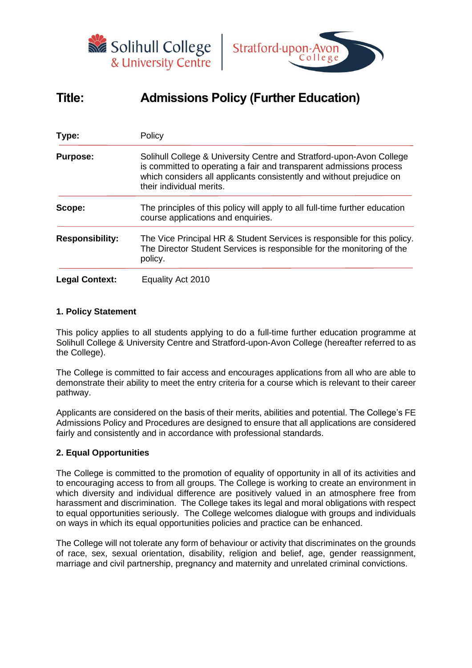



# **Title: Admissions Policy (Further Education)**

| Type:                  | Policy                                                                                                                                                                                                                                          |  |  |  |
|------------------------|-------------------------------------------------------------------------------------------------------------------------------------------------------------------------------------------------------------------------------------------------|--|--|--|
| <b>Purpose:</b>        | Solihull College & University Centre and Stratford-upon-Avon College<br>is committed to operating a fair and transparent admissions process<br>which considers all applicants consistently and without prejudice on<br>their individual merits. |  |  |  |
| Scope:                 | The principles of this policy will apply to all full-time further education<br>course applications and enquiries.                                                                                                                               |  |  |  |
| <b>Responsibility:</b> | The Vice Principal HR & Student Services is responsible for this policy.<br>The Director Student Services is responsible for the monitoring of the<br>policy.                                                                                   |  |  |  |
| <b>Legal Context:</b>  | Equality Act 2010                                                                                                                                                                                                                               |  |  |  |

## **1. Policy Statement**

This policy applies to all students applying to do a full-time further education programme at Solihull College & University Centre and Stratford-upon-Avon College (hereafter referred to as the College).

The College is committed to fair access and encourages applications from all who are able to demonstrate their ability to meet the entry criteria for a course which is relevant to their career pathway.

Applicants are considered on the basis of their merits, abilities and potential. The College's FE Admissions Policy and Procedures are designed to ensure that all applications are considered fairly and consistently and in accordance with professional standards.

## **2. Equal Opportunities**

The College is committed to the promotion of equality of opportunity in all of its activities and to encouraging access to from all groups. The College is working to create an environment in which diversity and individual difference are positively valued in an atmosphere free from harassment and discrimination. The College takes its legal and moral obligations with respect to equal opportunities seriously. The College welcomes dialogue with groups and individuals on ways in which its equal opportunities policies and practice can be enhanced.

The College will not tolerate any form of behaviour or activity that discriminates on the grounds of race, sex, sexual orientation, disability, religion and belief, age, gender reassignment, marriage and civil partnership, pregnancy and maternity and unrelated criminal convictions.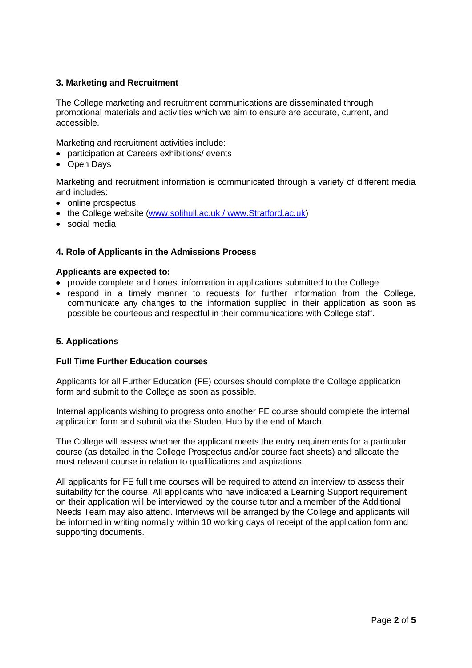## **3. Marketing and Recruitment**

The College marketing and recruitment communications are disseminated through promotional materials and activities which we aim to ensure are accurate, current, and accessible.

Marketing and recruitment activities include:

- participation at Careers exhibitions/ events
- Open Days

Marketing and recruitment information is communicated through a variety of different media and includes:

- online prospectus
- the College website [\(www.solihull.ac.uk](http://www.solihull.ac.uk/) / www.Stratford.ac.uk)
- social media

#### **4. Role of Applicants in the Admissions Process**

#### **Applicants are expected to:**

- provide complete and honest information in applications submitted to the College
- respond in a timely manner to requests for further information from the College, communicate any changes to the information supplied in their application as soon as possible be courteous and respectful in their communications with College staff.

#### **5. Applications**

#### **Full Time Further Education courses**

Applicants for all Further Education (FE) courses should complete the College application form and submit to the College as soon as possible.

Internal applicants wishing to progress onto another FE course should complete the internal application form and submit via the Student Hub by the end of March.

The College will assess whether the applicant meets the entry requirements for a particular course (as detailed in the College Prospectus and/or course fact sheets) and allocate the most relevant course in relation to qualifications and aspirations.

All applicants for FE full time courses will be required to attend an interview to assess their suitability for the course. All applicants who have indicated a Learning Support requirement on their application will be interviewed by the course tutor and a member of the Additional Needs Team may also attend. Interviews will be arranged by the College and applicants will be informed in writing normally within 10 working days of receipt of the application form and supporting documents.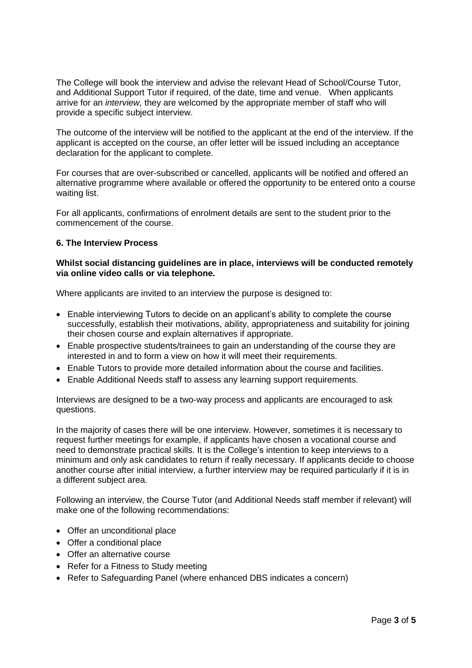The College will book the interview and advise the relevant Head of School/Course Tutor, and Additional Support Tutor if required, of the date, time and venue. When applicants arrive for an *interview,* they are welcomed by the appropriate member of staff who will provide a specific subject interview.

The outcome of the interview will be notified to the applicant at the end of the interview. If the applicant is accepted on the course, an offer letter will be issued including an acceptance declaration for the applicant to complete.

For courses that are over-subscribed or cancelled, applicants will be notified and offered an alternative programme where available or offered the opportunity to be entered onto a course waiting list.

For all applicants, confirmations of enrolment details are sent to the student prior to the commencement of the course.

## **6. The Interview Process**

#### **Whilst social distancing guidelines are in place, interviews will be conducted remotely via online video calls or via telephone.**

Where applicants are invited to an interview the purpose is designed to:

- Enable interviewing Tutors to decide on an applicant's ability to complete the course successfully, establish their motivations, ability, appropriateness and suitability for joining their chosen course and explain alternatives if appropriate.
- Enable prospective students/trainees to gain an understanding of the course they are interested in and to form a view on how it will meet their requirements.
- Enable Tutors to provide more detailed information about the course and facilities.
- Enable Additional Needs staff to assess any learning support requirements.

Interviews are designed to be a two-way process and applicants are encouraged to ask questions.

In the majority of cases there will be one interview. However, sometimes it is necessary to request further meetings for example, if applicants have chosen a vocational course and need to demonstrate practical skills. It is the College's intention to keep interviews to a minimum and only ask candidates to return if really necessary. If applicants decide to choose another course after initial interview, a further interview may be required particularly if it is in a different subject area.

Following an interview, the Course Tutor (and Additional Needs staff member if relevant) will make one of the following recommendations:

- Offer an unconditional place
- Offer a conditional place
- Offer an alternative course
- Refer for a Fitness to Study meeting
- Refer to Safeguarding Panel (where enhanced DBS indicates a concern)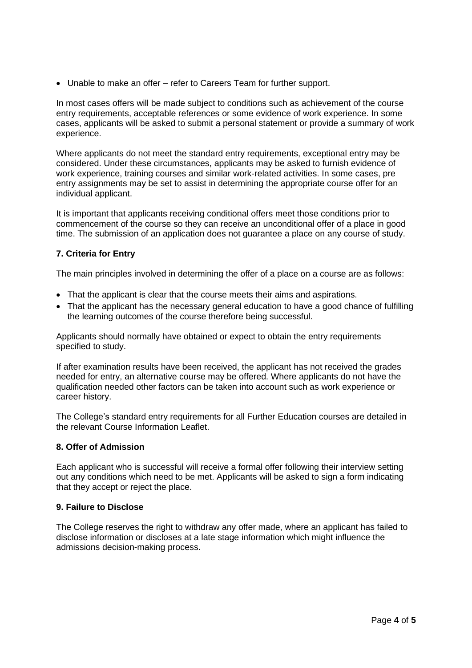• Unable to make an offer – refer to Careers Team for further support.

In most cases offers will be made subject to conditions such as achievement of the course entry requirements, acceptable references or some evidence of work experience. In some cases, applicants will be asked to submit a personal statement or provide a summary of work experience.

Where applicants do not meet the standard entry requirements, exceptional entry may be considered. Under these circumstances, applicants may be asked to furnish evidence of work experience, training courses and similar work-related activities. In some cases, pre entry assignments may be set to assist in determining the appropriate course offer for an individual applicant.

It is important that applicants receiving conditional offers meet those conditions prior to commencement of the course so they can receive an unconditional offer of a place in good time. The submission of an application does not guarantee a place on any course of study.

# **7. Criteria for Entry**

The main principles involved in determining the offer of a place on a course are as follows:

- That the applicant is clear that the course meets their aims and aspirations.
- That the applicant has the necessary general education to have a good chance of fulfilling the learning outcomes of the course therefore being successful.

Applicants should normally have obtained or expect to obtain the entry requirements specified to study.

If after examination results have been received, the applicant has not received the grades needed for entry, an alternative course may be offered. Where applicants do not have the qualification needed other factors can be taken into account such as work experience or career history.

The College's standard entry requirements for all Further Education courses are detailed in the relevant Course Information Leaflet.

## **8. Offer of Admission**

Each applicant who is successful will receive a formal offer following their interview setting out any conditions which need to be met. Applicants will be asked to sign a form indicating that they accept or reject the place.

## **9. Failure to Disclose**

The College reserves the right to withdraw any offer made, where an applicant has failed to disclose information or discloses at a late stage information which might influence the admissions decision-making process.